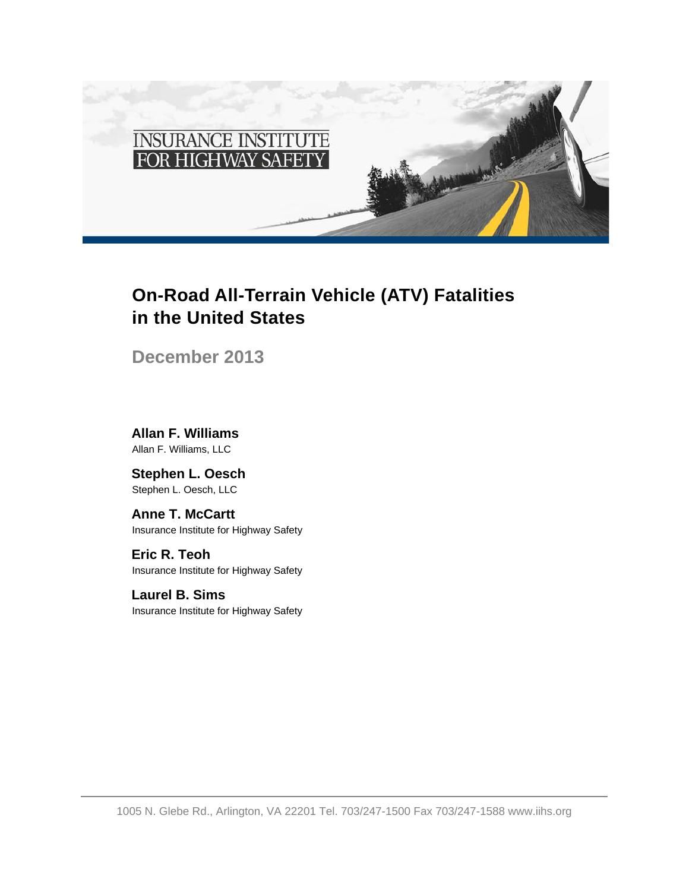

# **On-Road All-Terrain Vehicle (ATV) Fatalities in the United States**

**December 2013**

**Allan F. Williams** Allan F. Williams, LLC

**Stephen L. Oesch** Stephen L. Oesch, LLC

**Anne T. McCartt** Insurance Institute for Highway Safety

**Eric R. Teoh** Insurance Institute for Highway Safety

**Laurel B. Sims** Insurance Institute for Highway Safety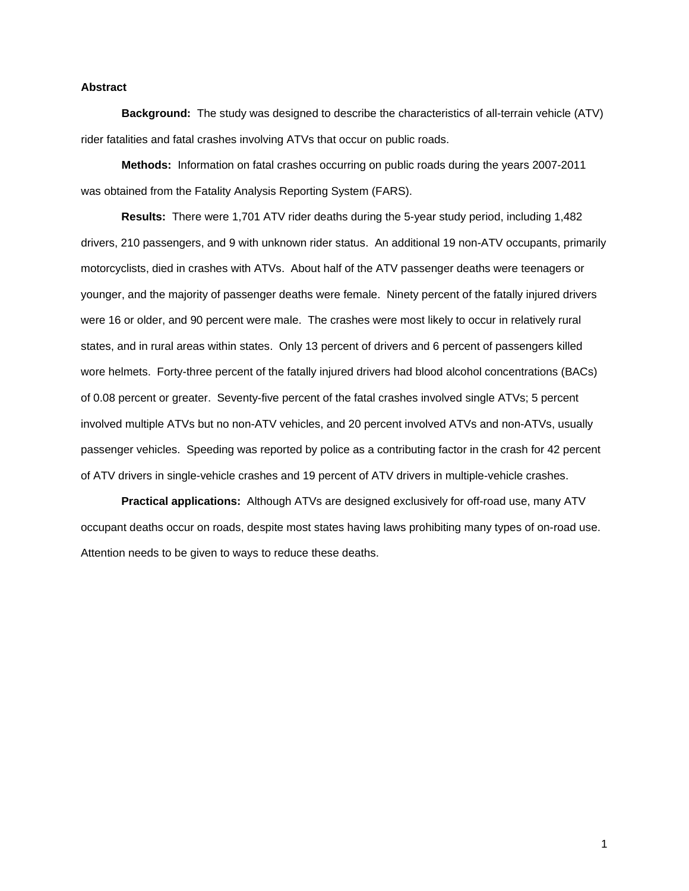## **Abstract**

**Background:** The study was designed to describe the characteristics of all-terrain vehicle (ATV) rider fatalities and fatal crashes involving ATVs that occur on public roads.

**Methods:** Information on fatal crashes occurring on public roads during the years 2007-2011 was obtained from the Fatality Analysis Reporting System (FARS).

**Results:** There were 1,701 ATV rider deaths during the 5-year study period, including 1,482 drivers, 210 passengers, and 9 with unknown rider status. An additional 19 non-ATV occupants, primarily motorcyclists, died in crashes with ATVs. About half of the ATV passenger deaths were teenagers or younger, and the majority of passenger deaths were female. Ninety percent of the fatally injured drivers were 16 or older, and 90 percent were male. The crashes were most likely to occur in relatively rural states, and in rural areas within states. Only 13 percent of drivers and 6 percent of passengers killed wore helmets. Forty-three percent of the fatally injured drivers had blood alcohol concentrations (BACs) of 0.08 percent or greater. Seventy-five percent of the fatal crashes involved single ATVs; 5 percent involved multiple ATVs but no non-ATV vehicles, and 20 percent involved ATVs and non-ATVs, usually passenger vehicles. Speeding was reported by police as a contributing factor in the crash for 42 percent of ATV drivers in single-vehicle crashes and 19 percent of ATV drivers in multiple-vehicle crashes.

**Practical applications:** Although ATVs are designed exclusively for off-road use, many ATV occupant deaths occur on roads, despite most states having laws prohibiting many types of on-road use. Attention needs to be given to ways to reduce these deaths.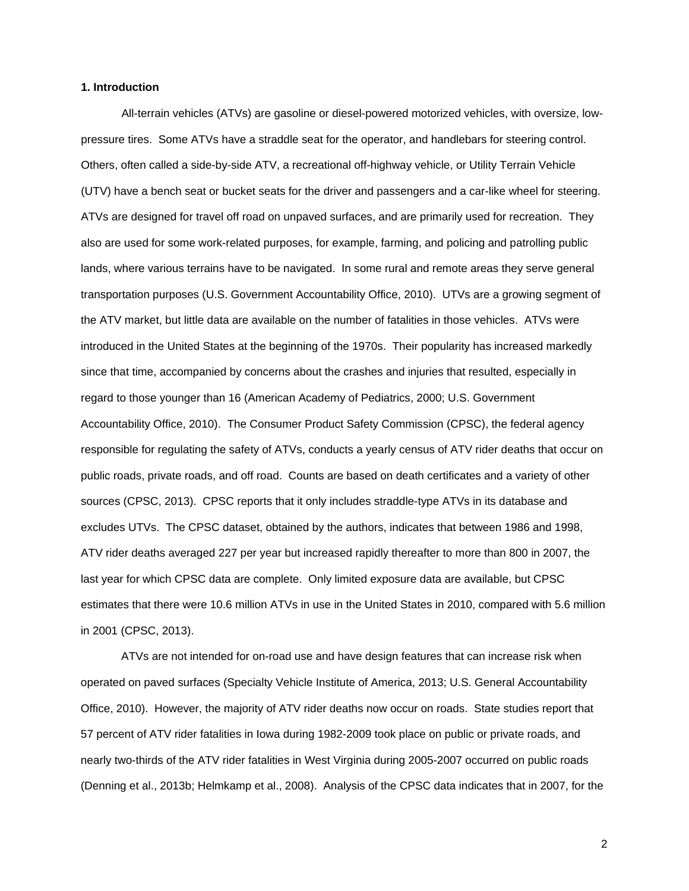#### **1. Introduction**

All-terrain vehicles (ATVs) are gasoline or diesel-powered motorized vehicles, with oversize, lowpressure tires. Some ATVs have a straddle seat for the operator, and handlebars for steering control. Others, often called a side-by-side ATV, a recreational off-highway vehicle, or Utility Terrain Vehicle (UTV) have a bench seat or bucket seats for the driver and passengers and a car-like wheel for steering. ATVs are designed for travel off road on unpaved surfaces, and are primarily used for recreation. They also are used for some work-related purposes, for example, farming, and policing and patrolling public lands, where various terrains have to be navigated. In some rural and remote areas they serve general transportation purposes (U.S. Government Accountability Office, 2010). UTVs are a growing segment of the ATV market, but little data are available on the number of fatalities in those vehicles. ATVs were introduced in the United States at the beginning of the 1970s. Their popularity has increased markedly since that time, accompanied by concerns about the crashes and injuries that resulted, especially in regard to those younger than 16 (American Academy of Pediatrics, 2000; U.S. Government Accountability Office, 2010). The Consumer Product Safety Commission (CPSC), the federal agency responsible for regulating the safety of ATVs, conducts a yearly census of ATV rider deaths that occur on public roads, private roads, and off road. Counts are based on death certificates and a variety of other sources (CPSC, 2013). CPSC reports that it only includes straddle-type ATVs in its database and excludes UTVs. The CPSC dataset, obtained by the authors, indicates that between 1986 and 1998, ATV rider deaths averaged 227 per year but increased rapidly thereafter to more than 800 in 2007, the last year for which CPSC data are complete. Only limited exposure data are available, but CPSC estimates that there were 10.6 million ATVs in use in the United States in 2010, compared with 5.6 million in 2001 (CPSC, 2013).

ATVs are not intended for on-road use and have design features that can increase risk when operated on paved surfaces (Specialty Vehicle Institute of America, 2013; U.S. General Accountability Office, 2010). However, the majority of ATV rider deaths now occur on roads. State studies report that 57 percent of ATV rider fatalities in Iowa during 1982-2009 took place on public or private roads, and nearly two-thirds of the ATV rider fatalities in West Virginia during 2005-2007 occurred on public roads (Denning et al., 2013b; Helmkamp et al., 2008). Analysis of the CPSC data indicates that in 2007, for the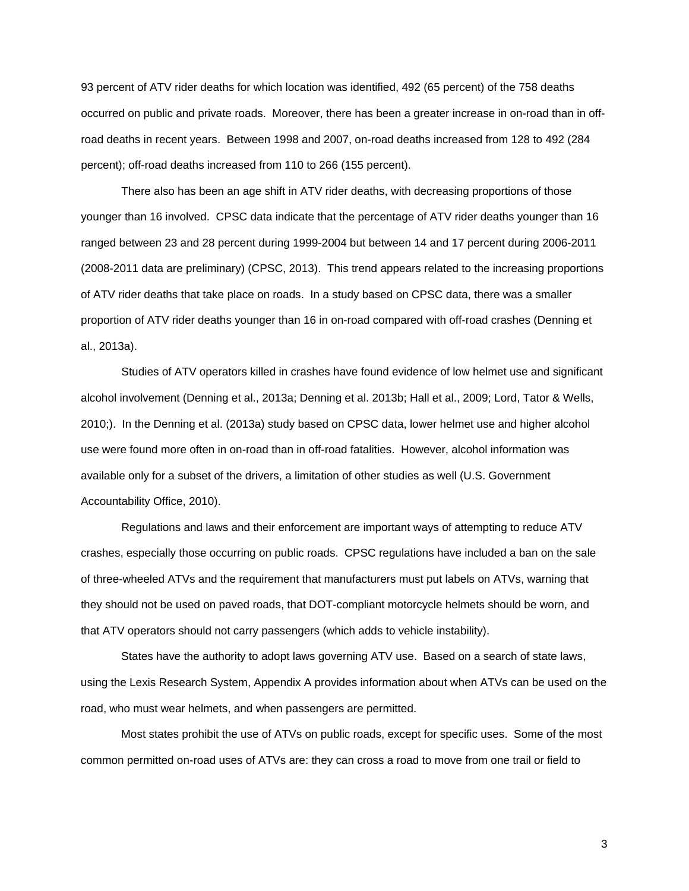93 percent of ATV rider deaths for which location was identified, 492 (65 percent) of the 758 deaths occurred on public and private roads. Moreover, there has been a greater increase in on-road than in offroad deaths in recent years. Between 1998 and 2007, on-road deaths increased from 128 to 492 (284 percent); off-road deaths increased from 110 to 266 (155 percent).

There also has been an age shift in ATV rider deaths, with decreasing proportions of those younger than 16 involved. CPSC data indicate that the percentage of ATV rider deaths younger than 16 ranged between 23 and 28 percent during 1999-2004 but between 14 and 17 percent during 2006-2011 (2008-2011 data are preliminary) (CPSC, 2013). This trend appears related to the increasing proportions of ATV rider deaths that take place on roads. In a study based on CPSC data, there was a smaller proportion of ATV rider deaths younger than 16 in on-road compared with off-road crashes (Denning et al., 2013a).

Studies of ATV operators killed in crashes have found evidence of low helmet use and significant alcohol involvement (Denning et al., 2013a; Denning et al. 2013b; Hall et al., 2009; Lord, Tator & Wells, 2010;). In the Denning et al. (2013a) study based on CPSC data, lower helmet use and higher alcohol use were found more often in on-road than in off-road fatalities. However, alcohol information was available only for a subset of the drivers, a limitation of other studies as well (U.S. Government Accountability Office, 2010).

Regulations and laws and their enforcement are important ways of attempting to reduce ATV crashes, especially those occurring on public roads. CPSC regulations have included a ban on the sale of three-wheeled ATVs and the requirement that manufacturers must put labels on ATVs, warning that they should not be used on paved roads, that DOT-compliant motorcycle helmets should be worn, and that ATV operators should not carry passengers (which adds to vehicle instability).

States have the authority to adopt laws governing ATV use. Based on a search of state laws, using the Lexis Research System, Appendix A provides information about when ATVs can be used on the road, who must wear helmets, and when passengers are permitted.

Most states prohibit the use of ATVs on public roads, except for specific uses. Some of the most common permitted on-road uses of ATVs are: they can cross a road to move from one trail or field to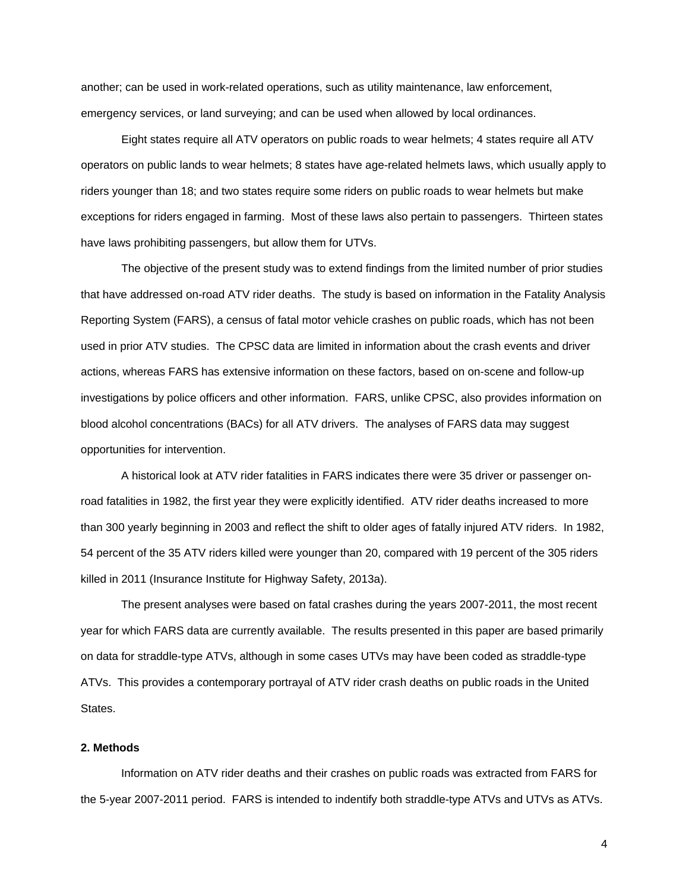another; can be used in work-related operations, such as utility maintenance, law enforcement, emergency services, or land surveying; and can be used when allowed by local ordinances.

Eight states require all ATV operators on public roads to wear helmets; 4 states require all ATV operators on public lands to wear helmets; 8 states have age-related helmets laws, which usually apply to riders younger than 18; and two states require some riders on public roads to wear helmets but make exceptions for riders engaged in farming. Most of these laws also pertain to passengers. Thirteen states have laws prohibiting passengers, but allow them for UTVs.

The objective of the present study was to extend findings from the limited number of prior studies that have addressed on-road ATV rider deaths. The study is based on information in the Fatality Analysis Reporting System (FARS), a census of fatal motor vehicle crashes on public roads, which has not been used in prior ATV studies. The CPSC data are limited in information about the crash events and driver actions, whereas FARS has extensive information on these factors, based on on-scene and follow-up investigations by police officers and other information. FARS, unlike CPSC, also provides information on blood alcohol concentrations (BACs) for all ATV drivers. The analyses of FARS data may suggest opportunities for intervention.

A historical look at ATV rider fatalities in FARS indicates there were 35 driver or passenger onroad fatalities in 1982, the first year they were explicitly identified. ATV rider deaths increased to more than 300 yearly beginning in 2003 and reflect the shift to older ages of fatally injured ATV riders. In 1982, 54 percent of the 35 ATV riders killed were younger than 20, compared with 19 percent of the 305 riders killed in 2011 (Insurance Institute for Highway Safety, 2013a).

The present analyses were based on fatal crashes during the years 2007-2011, the most recent year for which FARS data are currently available. The results presented in this paper are based primarily on data for straddle-type ATVs, although in some cases UTVs may have been coded as straddle-type ATVs. This provides a contemporary portrayal of ATV rider crash deaths on public roads in the United States.

#### **2. Methods**

Information on ATV rider deaths and their crashes on public roads was extracted from FARS for the 5-year 2007-2011 period. FARS is intended to indentify both straddle-type ATVs and UTVs as ATVs.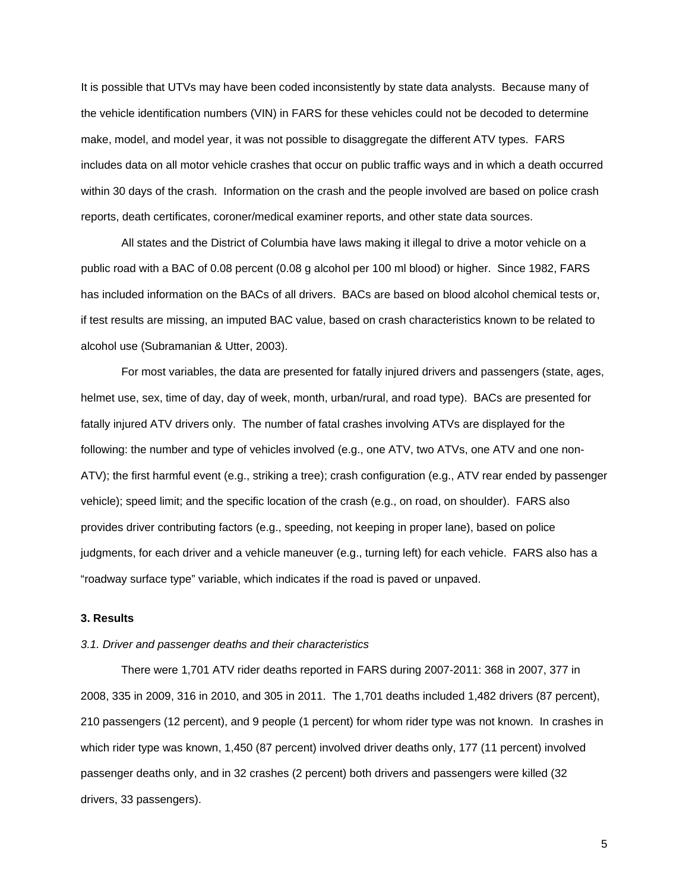It is possible that UTVs may have been coded inconsistently by state data analysts. Because many of the vehicle identification numbers (VIN) in FARS for these vehicles could not be decoded to determine make, model, and model year, it was not possible to disaggregate the different ATV types. FARS includes data on all motor vehicle crashes that occur on public traffic ways and in which a death occurred within 30 days of the crash. Information on the crash and the people involved are based on police crash reports, death certificates, coroner/medical examiner reports, and other state data sources.

All states and the District of Columbia have laws making it illegal to drive a motor vehicle on a public road with a BAC of 0.08 percent (0.08 g alcohol per 100 ml blood) or higher. Since 1982, FARS has included information on the BACs of all drivers. BACs are based on blood alcohol chemical tests or, if test results are missing, an imputed BAC value, based on crash characteristics known to be related to alcohol use (Subramanian & Utter, 2003).

For most variables, the data are presented for fatally injured drivers and passengers (state, ages, helmet use, sex, time of day, day of week, month, urban/rural, and road type). BACs are presented for fatally injured ATV drivers only. The number of fatal crashes involving ATVs are displayed for the following: the number and type of vehicles involved (e.g., one ATV, two ATVs, one ATV and one non-ATV); the first harmful event (e.g., striking a tree); crash configuration (e.g., ATV rear ended by passenger vehicle); speed limit; and the specific location of the crash (e.g., on road, on shoulder). FARS also provides driver contributing factors (e.g., speeding, not keeping in proper lane), based on police judgments, for each driver and a vehicle maneuver (e.g., turning left) for each vehicle. FARS also has a "roadway surface type" variable, which indicates if the road is paved or unpaved.

#### **3. Results**

#### *3.1. Driver and passenger deaths and their characteristics*

There were 1,701 ATV rider deaths reported in FARS during 2007-2011: 368 in 2007, 377 in 2008, 335 in 2009, 316 in 2010, and 305 in 2011. The 1,701 deaths included 1,482 drivers (87 percent), 210 passengers (12 percent), and 9 people (1 percent) for whom rider type was not known. In crashes in which rider type was known, 1,450 (87 percent) involved driver deaths only, 177 (11 percent) involved passenger deaths only, and in 32 crashes (2 percent) both drivers and passengers were killed (32 drivers, 33 passengers).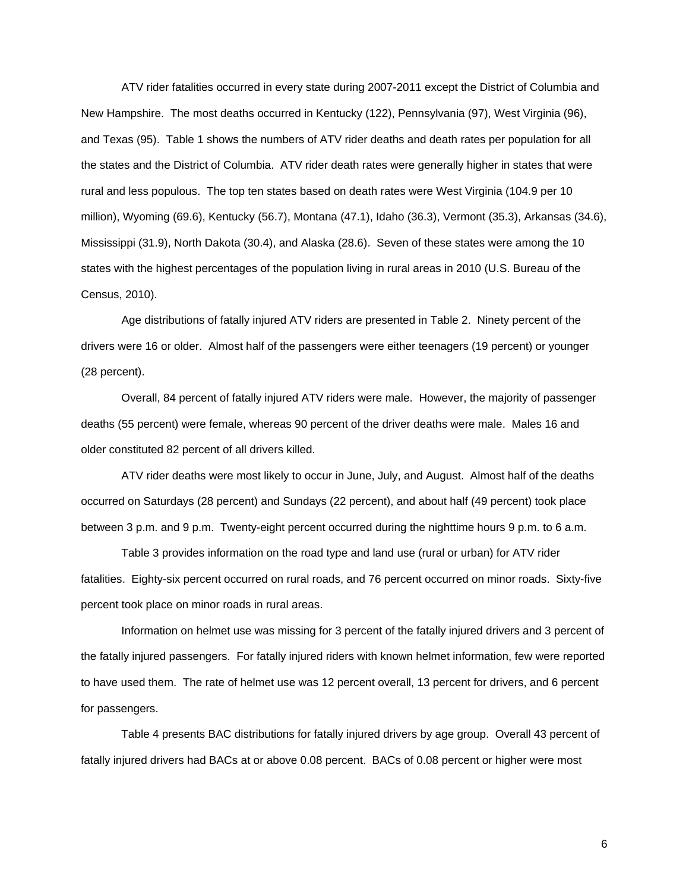ATV rider fatalities occurred in every state during 2007-2011 except the District of Columbia and New Hampshire. The most deaths occurred in Kentucky (122), Pennsylvania (97), West Virginia (96), and Texas (95). Table 1 shows the numbers of ATV rider deaths and death rates per population for all the states and the District of Columbia. ATV rider death rates were generally higher in states that were rural and less populous. The top ten states based on death rates were West Virginia (104.9 per 10 million), Wyoming (69.6), Kentucky (56.7), Montana (47.1), Idaho (36.3), Vermont (35.3), Arkansas (34.6), Mississippi (31.9), North Dakota (30.4), and Alaska (28.6). Seven of these states were among the 10 states with the highest percentages of the population living in rural areas in 2010 (U.S. Bureau of the Census, 2010).

Age distributions of fatally injured ATV riders are presented in Table 2. Ninety percent of the drivers were 16 or older. Almost half of the passengers were either teenagers (19 percent) or younger (28 percent).

Overall, 84 percent of fatally injured ATV riders were male. However, the majority of passenger deaths (55 percent) were female, whereas 90 percent of the driver deaths were male. Males 16 and older constituted 82 percent of all drivers killed.

ATV rider deaths were most likely to occur in June, July, and August. Almost half of the deaths occurred on Saturdays (28 percent) and Sundays (22 percent), and about half (49 percent) took place between 3 p.m. and 9 p.m. Twenty-eight percent occurred during the nighttime hours 9 p.m. to 6 a.m.

Table 3 provides information on the road type and land use (rural or urban) for ATV rider fatalities. Eighty-six percent occurred on rural roads, and 76 percent occurred on minor roads. Sixty-five percent took place on minor roads in rural areas.

Information on helmet use was missing for 3 percent of the fatally injured drivers and 3 percent of the fatally injured passengers. For fatally injured riders with known helmet information, few were reported to have used them. The rate of helmet use was 12 percent overall, 13 percent for drivers, and 6 percent for passengers.

Table 4 presents BAC distributions for fatally injured drivers by age group. Overall 43 percent of fatally injured drivers had BACs at or above 0.08 percent. BACs of 0.08 percent or higher were most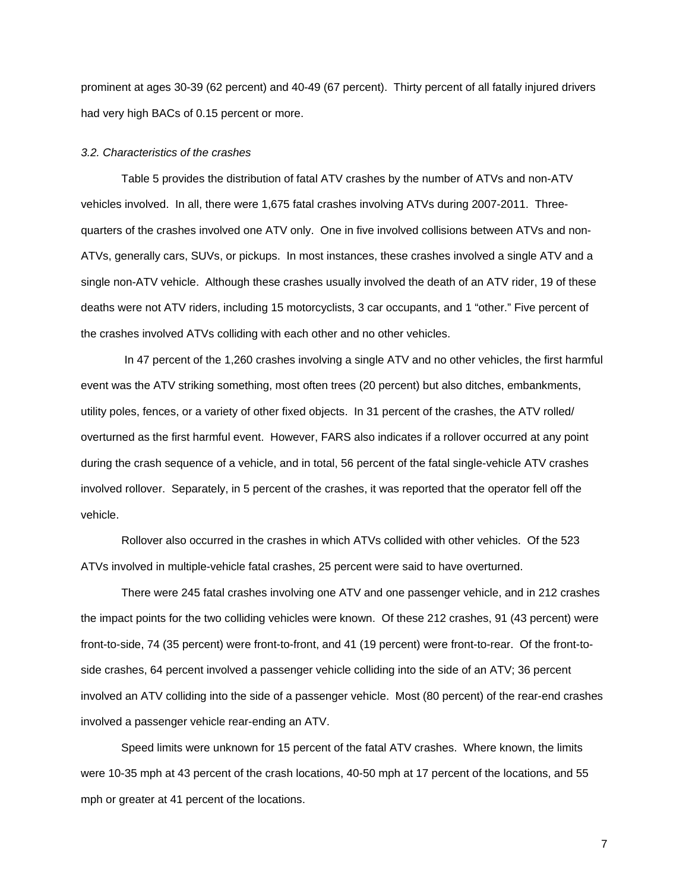prominent at ages 30-39 (62 percent) and 40-49 (67 percent). Thirty percent of all fatally injured drivers had very high BACs of 0.15 percent or more.

#### *3.2. Characteristics of the crashes*

Table 5 provides the distribution of fatal ATV crashes by the number of ATVs and non-ATV vehicles involved. In all, there were 1,675 fatal crashes involving ATVs during 2007-2011. Threequarters of the crashes involved one ATV only. One in five involved collisions between ATVs and non-ATVs, generally cars, SUVs, or pickups. In most instances, these crashes involved a single ATV and a single non-ATV vehicle. Although these crashes usually involved the death of an ATV rider, 19 of these deaths were not ATV riders, including 15 motorcyclists, 3 car occupants, and 1 "other." Five percent of the crashes involved ATVs colliding with each other and no other vehicles.

In 47 percent of the 1,260 crashes involving a single ATV and no other vehicles, the first harmful event was the ATV striking something, most often trees (20 percent) but also ditches, embankments, utility poles, fences, or a variety of other fixed objects. In 31 percent of the crashes, the ATV rolled/ overturned as the first harmful event. However, FARS also indicates if a rollover occurred at any point during the crash sequence of a vehicle, and in total, 56 percent of the fatal single-vehicle ATV crashes involved rollover. Separately, in 5 percent of the crashes, it was reported that the operator fell off the vehicle.

Rollover also occurred in the crashes in which ATVs collided with other vehicles. Of the 523 ATVs involved in multiple-vehicle fatal crashes, 25 percent were said to have overturned.

There were 245 fatal crashes involving one ATV and one passenger vehicle, and in 212 crashes the impact points for the two colliding vehicles were known. Of these 212 crashes, 91 (43 percent) were front-to-side, 74 (35 percent) were front-to-front, and 41 (19 percent) were front-to-rear. Of the front-toside crashes, 64 percent involved a passenger vehicle colliding into the side of an ATV; 36 percent involved an ATV colliding into the side of a passenger vehicle. Most (80 percent) of the rear-end crashes involved a passenger vehicle rear-ending an ATV.

Speed limits were unknown for 15 percent of the fatal ATV crashes. Where known, the limits were 10-35 mph at 43 percent of the crash locations, 40-50 mph at 17 percent of the locations, and 55 mph or greater at 41 percent of the locations.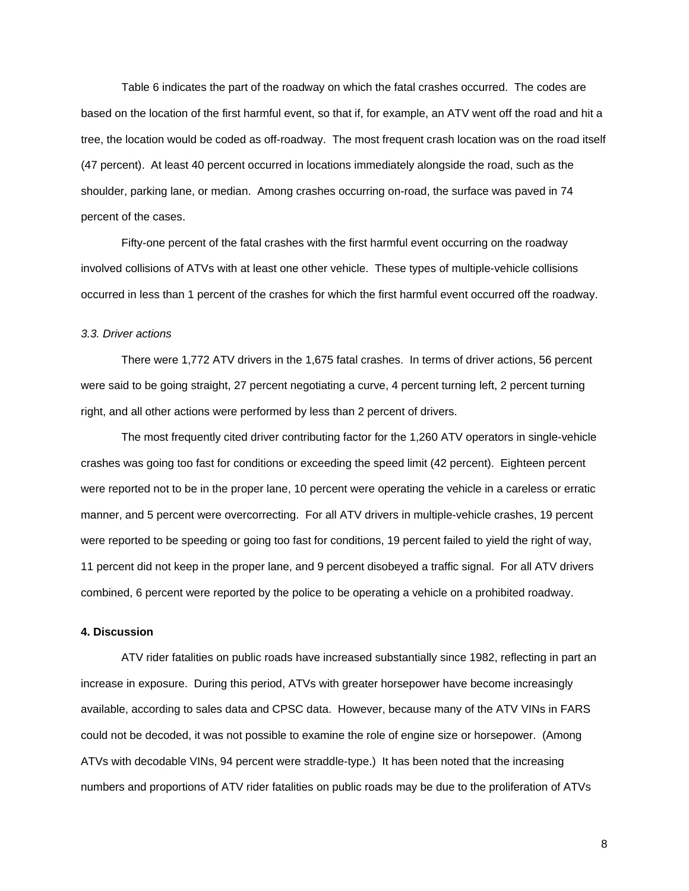Table 6 indicates the part of the roadway on which the fatal crashes occurred. The codes are based on the location of the first harmful event, so that if, for example, an ATV went off the road and hit a tree, the location would be coded as off-roadway. The most frequent crash location was on the road itself (47 percent). At least 40 percent occurred in locations immediately alongside the road, such as the shoulder, parking lane, or median. Among crashes occurring on-road, the surface was paved in 74 percent of the cases.

Fifty-one percent of the fatal crashes with the first harmful event occurring on the roadway involved collisions of ATVs with at least one other vehicle. These types of multiple-vehicle collisions occurred in less than 1 percent of the crashes for which the first harmful event occurred off the roadway.

#### *3.3. Driver actions*

There were 1,772 ATV drivers in the 1,675 fatal crashes. In terms of driver actions, 56 percent were said to be going straight, 27 percent negotiating a curve, 4 percent turning left, 2 percent turning right, and all other actions were performed by less than 2 percent of drivers.

The most frequently cited driver contributing factor for the 1,260 ATV operators in single-vehicle crashes was going too fast for conditions or exceeding the speed limit (42 percent). Eighteen percent were reported not to be in the proper lane, 10 percent were operating the vehicle in a careless or erratic manner, and 5 percent were overcorrecting. For all ATV drivers in multiple-vehicle crashes, 19 percent were reported to be speeding or going too fast for conditions, 19 percent failed to yield the right of way, 11 percent did not keep in the proper lane, and 9 percent disobeyed a traffic signal. For all ATV drivers combined, 6 percent were reported by the police to be operating a vehicle on a prohibited roadway.

#### **4. Discussion**

ATV rider fatalities on public roads have increased substantially since 1982, reflecting in part an increase in exposure. During this period, ATVs with greater horsepower have become increasingly available, according to sales data and CPSC data. However, because many of the ATV VINs in FARS could not be decoded, it was not possible to examine the role of engine size or horsepower. (Among ATVs with decodable VINs, 94 percent were straddle-type.) It has been noted that the increasing numbers and proportions of ATV rider fatalities on public roads may be due to the proliferation of ATVs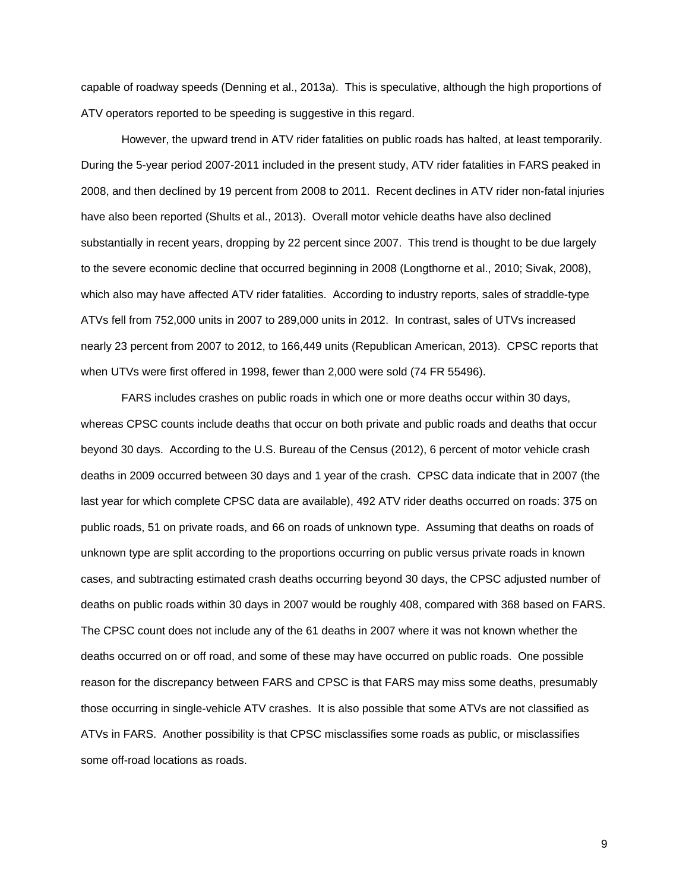capable of roadway speeds (Denning et al., 2013a). This is speculative, although the high proportions of ATV operators reported to be speeding is suggestive in this regard.

However, the upward trend in ATV rider fatalities on public roads has halted, at least temporarily. During the 5-year period 2007-2011 included in the present study, ATV rider fatalities in FARS peaked in 2008, and then declined by 19 percent from 2008 to 2011. Recent declines in ATV rider non-fatal injuries have also been reported (Shults et al., 2013). Overall motor vehicle deaths have also declined substantially in recent years, dropping by 22 percent since 2007. This trend is thought to be due largely to the severe economic decline that occurred beginning in 2008 (Longthorne et al., 2010; Sivak, 2008), which also may have affected ATV rider fatalities. According to industry reports, sales of straddle-type ATVs fell from 752,000 units in 2007 to 289,000 units in 2012. In contrast, sales of UTVs increased nearly 23 percent from 2007 to 2012, to 166,449 units (Republican American, 2013). CPSC reports that when UTVs were first offered in 1998, fewer than 2,000 were sold (74 FR 55496).

FARS includes crashes on public roads in which one or more deaths occur within 30 days, whereas CPSC counts include deaths that occur on both private and public roads and deaths that occur beyond 30 days. According to the U.S. Bureau of the Census (2012), 6 percent of motor vehicle crash deaths in 2009 occurred between 30 days and 1 year of the crash. CPSC data indicate that in 2007 (the last year for which complete CPSC data are available), 492 ATV rider deaths occurred on roads: 375 on public roads, 51 on private roads, and 66 on roads of unknown type. Assuming that deaths on roads of unknown type are split according to the proportions occurring on public versus private roads in known cases, and subtracting estimated crash deaths occurring beyond 30 days, the CPSC adjusted number of deaths on public roads within 30 days in 2007 would be roughly 408, compared with 368 based on FARS. The CPSC count does not include any of the 61 deaths in 2007 where it was not known whether the deaths occurred on or off road, and some of these may have occurred on public roads. One possible reason for the discrepancy between FARS and CPSC is that FARS may miss some deaths, presumably those occurring in single-vehicle ATV crashes. It is also possible that some ATVs are not classified as ATVs in FARS. Another possibility is that CPSC misclassifies some roads as public, or misclassifies some off-road locations as roads.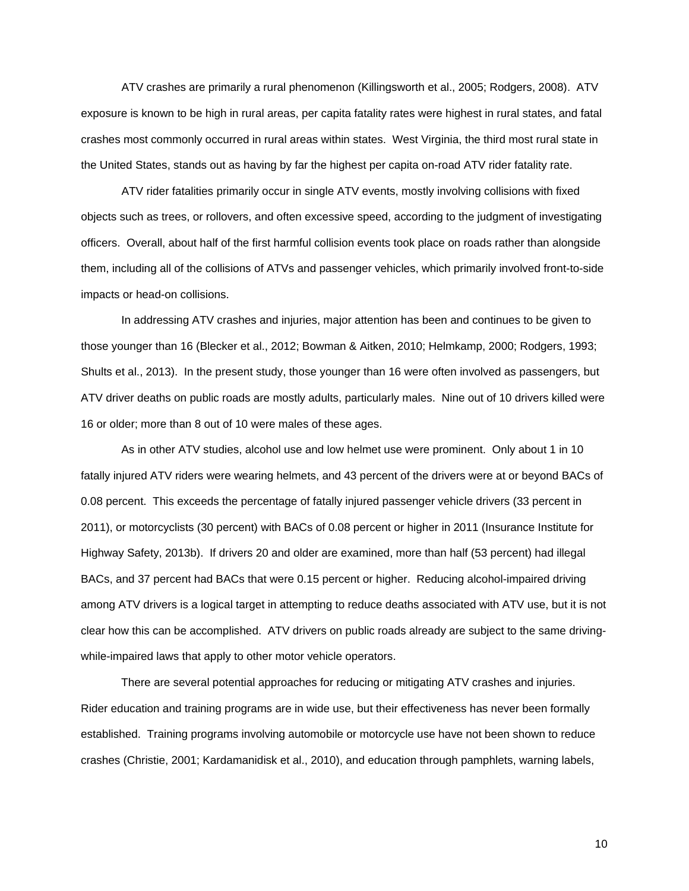ATV crashes are primarily a rural phenomenon (Killingsworth et al., 2005; Rodgers, 2008). ATV exposure is known to be high in rural areas, per capita fatality rates were highest in rural states, and fatal crashes most commonly occurred in rural areas within states. West Virginia, the third most rural state in the United States, stands out as having by far the highest per capita on-road ATV rider fatality rate.

ATV rider fatalities primarily occur in single ATV events, mostly involving collisions with fixed objects such as trees, or rollovers, and often excessive speed, according to the judgment of investigating officers. Overall, about half of the first harmful collision events took place on roads rather than alongside them, including all of the collisions of ATVs and passenger vehicles, which primarily involved front-to-side impacts or head-on collisions.

In addressing ATV crashes and injuries, major attention has been and continues to be given to those younger than 16 (Blecker et al., 2012; Bowman & Aitken, 2010; Helmkamp, 2000; Rodgers, 1993; Shults et al., 2013). In the present study, those younger than 16 were often involved as passengers, but ATV driver deaths on public roads are mostly adults, particularly males. Nine out of 10 drivers killed were 16 or older; more than 8 out of 10 were males of these ages.

As in other ATV studies, alcohol use and low helmet use were prominent. Only about 1 in 10 fatally injured ATV riders were wearing helmets, and 43 percent of the drivers were at or beyond BACs of 0.08 percent. This exceeds the percentage of fatally injured passenger vehicle drivers (33 percent in 2011), or motorcyclists (30 percent) with BACs of 0.08 percent or higher in 2011 (Insurance Institute for Highway Safety, 2013b). If drivers 20 and older are examined, more than half (53 percent) had illegal BACs, and 37 percent had BACs that were 0.15 percent or higher. Reducing alcohol-impaired driving among ATV drivers is a logical target in attempting to reduce deaths associated with ATV use, but it is not clear how this can be accomplished. ATV drivers on public roads already are subject to the same drivingwhile-impaired laws that apply to other motor vehicle operators.

There are several potential approaches for reducing or mitigating ATV crashes and injuries. Rider education and training programs are in wide use, but their effectiveness has never been formally established. Training programs involving automobile or motorcycle use have not been shown to reduce crashes (Christie, 2001; Kardamanidisk et al., 2010), and education through pamphlets, warning labels,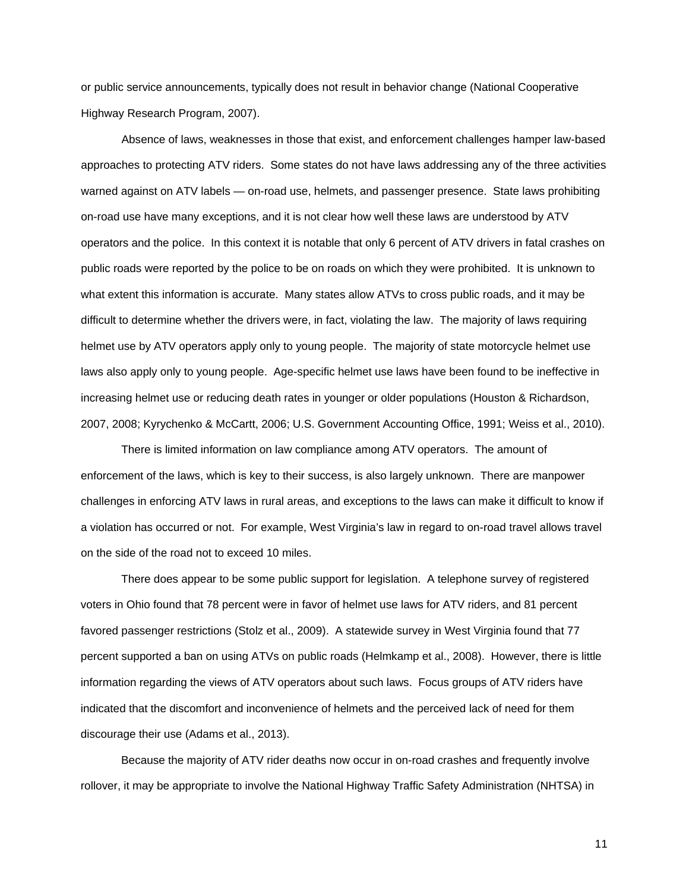or public service announcements, typically does not result in behavior change (National Cooperative Highway Research Program, 2007).

Absence of laws, weaknesses in those that exist, and enforcement challenges hamper law-based approaches to protecting ATV riders. Some states do not have laws addressing any of the three activities warned against on ATV labels - on-road use, helmets, and passenger presence. State laws prohibiting on-road use have many exceptions, and it is not clear how well these laws are understood by ATV operators and the police. In this context it is notable that only 6 percent of ATV drivers in fatal crashes on public roads were reported by the police to be on roads on which they were prohibited. It is unknown to what extent this information is accurate. Many states allow ATVs to cross public roads, and it may be difficult to determine whether the drivers were, in fact, violating the law. The majority of laws requiring helmet use by ATV operators apply only to young people. The majority of state motorcycle helmet use laws also apply only to young people. Age-specific helmet use laws have been found to be ineffective in increasing helmet use or reducing death rates in younger or older populations (Houston & Richardson, 2007, 2008; Kyrychenko & McCartt, 2006; U.S. Government Accounting Office, 1991; Weiss et al., 2010).

There is limited information on law compliance among ATV operators. The amount of enforcement of the laws, which is key to their success, is also largely unknown. There are manpower challenges in enforcing ATV laws in rural areas, and exceptions to the laws can make it difficult to know if a violation has occurred or not. For example, West Virginia's law in regard to on-road travel allows travel on the side of the road not to exceed 10 miles.

There does appear to be some public support for legislation. A telephone survey of registered voters in Ohio found that 78 percent were in favor of helmet use laws for ATV riders, and 81 percent favored passenger restrictions (Stolz et al., 2009). A statewide survey in West Virginia found that 77 percent supported a ban on using ATVs on public roads (Helmkamp et al., 2008). However, there is little information regarding the views of ATV operators about such laws. Focus groups of ATV riders have indicated that the discomfort and inconvenience of helmets and the perceived lack of need for them discourage their use (Adams et al., 2013).

Because the majority of ATV rider deaths now occur in on-road crashes and frequently involve rollover, it may be appropriate to involve the National Highway Traffic Safety Administration (NHTSA) in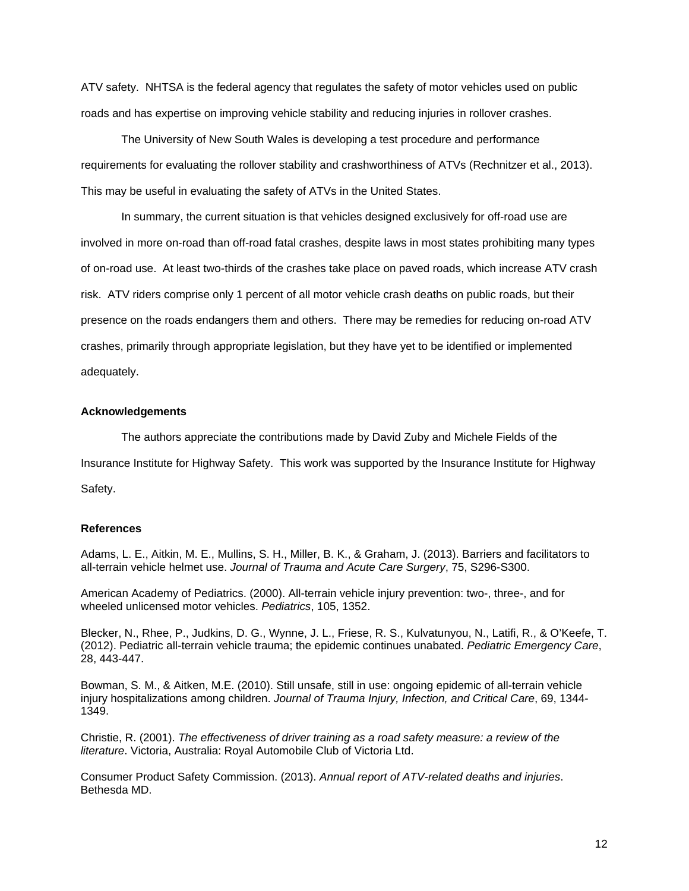ATV safety. NHTSA is the federal agency that regulates the safety of motor vehicles used on public roads and has expertise on improving vehicle stability and reducing injuries in rollover crashes.

The University of New South Wales is developing a test procedure and performance requirements for evaluating the rollover stability and crashworthiness of ATVs (Rechnitzer et al., 2013). This may be useful in evaluating the safety of ATVs in the United States.

In summary, the current situation is that vehicles designed exclusively for off-road use are involved in more on-road than off-road fatal crashes, despite laws in most states prohibiting many types of on-road use. At least two-thirds of the crashes take place on paved roads, which increase ATV crash risk. ATV riders comprise only 1 percent of all motor vehicle crash deaths on public roads, but their presence on the roads endangers them and others. There may be remedies for reducing on-road ATV crashes, primarily through appropriate legislation, but they have yet to be identified or implemented adequately.

#### **Acknowledgements**

The authors appreciate the contributions made by David Zuby and Michele Fields of the

Insurance Institute for Highway Safety. This work was supported by the Insurance Institute for Highway

Safety.

### **References**

Adams, L. E., Aitkin, M. E., Mullins, S. H., Miller, B. K., & Graham, J. (2013). Barriers and facilitators to all-terrain vehicle helmet use. *Journal of Trauma and Acute Care Surgery*, 75, S296-S300.

American Academy of Pediatrics. (2000). All-terrain vehicle injury prevention: two-, three-, and for wheeled unlicensed motor vehicles. *Pediatrics*, 105, 1352.

Blecker, N., Rhee, P., Judkins, D. G., Wynne, J. L., Friese, R. S., Kulvatunyou, N., Latifi, R., & O'Keefe, T. (2012). Pediatric all-terrain vehicle trauma; the epidemic continues unabated. *Pediatric Emergency Care*, 28, 443-447.

Bowman, S. M., & Aitken, M.E. (2010). Still unsafe, still in use: ongoing epidemic of all-terrain vehicle injury hospitalizations among children. *Journal of Trauma Injury, Infection, and Critical Care*, 69, 1344- 1349.

Christie, R. (2001). *The effectiveness of driver training as a road safety measure: a review of the literature*. Victoria, Australia: Royal Automobile Club of Victoria Ltd.

Consumer Product Safety Commission. (2013). *Annual report of ATV-related deaths and injuries*. Bethesda MD.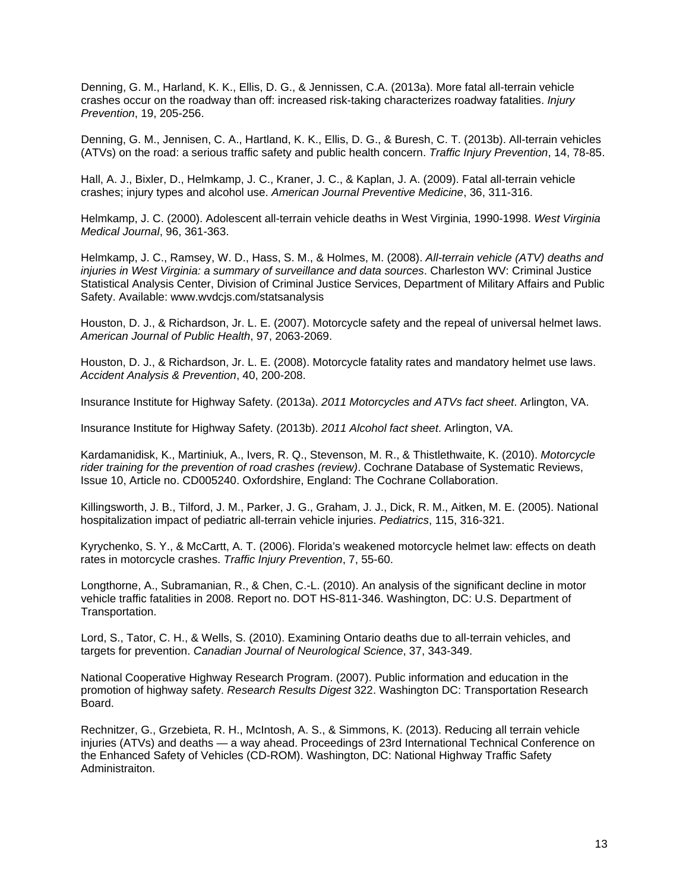Denning, G. M., Harland, K. K., Ellis, D. G., & Jennissen, C.A. (2013a). More fatal all-terrain vehicle crashes occur on the roadway than off: increased risk-taking characterizes roadway fatalities. *Injury Prevention*, 19, 205-256.

Denning, G. M., Jennisen, C. A., Hartland, K. K., Ellis, D. G., & Buresh, C. T. (2013b). All-terrain vehicles (ATVs) on the road: a serious traffic safety and public health concern. *Traffic Injury Prevention*, 14, 78-85.

Hall, A. J., Bixler, D., Helmkamp, J. C., Kraner, J. C., & Kaplan, J. A. (2009). Fatal all-terrain vehicle crashes; injury types and alcohol use. *American Journal Preventive Medicine*, 36, 311-316.

Helmkamp, J. C. (2000). Adolescent all-terrain vehicle deaths in West Virginia, 1990-1998. *West Virginia Medical Journal*, 96, 361-363.

Helmkamp, J. C., Ramsey, W. D., Hass, S. M., & Holmes, M. (2008). *All-terrain vehicle (ATV) deaths and injuries in West Virginia: a summary of surveillance and data sources*. Charleston WV: Criminal Justice Statistical Analysis Center, Division of Criminal Justice Services, Department of Military Affairs and Public Safety. Available: www.wvdcjs.com/statsanalysis

Houston, D. J., & Richardson, Jr. L. E. (2007). Motorcycle safety and the repeal of universal helmet laws. *American Journal of Public Health*, 97, 2063-2069.

Houston, D. J., & Richardson, Jr. L. E. (2008). Motorcycle fatality rates and mandatory helmet use laws. *Accident Analysis & Prevention*, 40, 200-208.

Insurance Institute for Highway Safety. (2013a). *2011 Motorcycles and ATVs fact sheet*. Arlington, VA.

Insurance Institute for Highway Safety. (2013b). *2011 Alcohol fact sheet*. Arlington, VA.

Kardamanidisk, K., Martiniuk, A., Ivers, R. Q., Stevenson, M. R., & Thistlethwaite, K. (2010). *Motorcycle rider training for the prevention of road crashes (review)*. Cochrane Database of Systematic Reviews, Issue 10, Article no. CD005240. Oxfordshire, England: The Cochrane Collaboration.

Killingsworth, J. B., Tilford, J. M., Parker, J. G., Graham, J. J., Dick, R. M., Aitken, M. E. (2005). National hospitalization impact of pediatric all-terrain vehicle injuries. *Pediatrics*, 115, 316-321.

Kyrychenko, S. Y., & McCartt, A. T. (2006). Florida's weakened motorcycle helmet law: effects on death rates in motorcycle crashes. *Traffic Injury Prevention*, 7, 55-60.

Longthorne, A., Subramanian, R., & Chen, C.-L. (2010). An analysis of the significant decline in motor vehicle traffic fatalities in 2008. Report no. DOT HS-811-346. Washington, DC: U.S. Department of Transportation.

Lord, S., Tator, C. H., & Wells, S. (2010). Examining Ontario deaths due to all-terrain vehicles, and targets for prevention. *Canadian Journal of Neurological Science*, 37, 343-349.

National Cooperative Highway Research Program. (2007). Public information and education in the promotion of highway safety. *Research Results Digest* 322. Washington DC: Transportation Research Board.

Rechnitzer, G., Grzebieta, R. H., McIntosh, A. S., & Simmons, K. (2013). Reducing all terrain vehicle injuries (ATVs) and deaths — a way ahead. Proceedings of 23rd International Technical Conference on the Enhanced Safety of Vehicles (CD-ROM). Washington, DC: National Highway Traffic Safety Administraiton.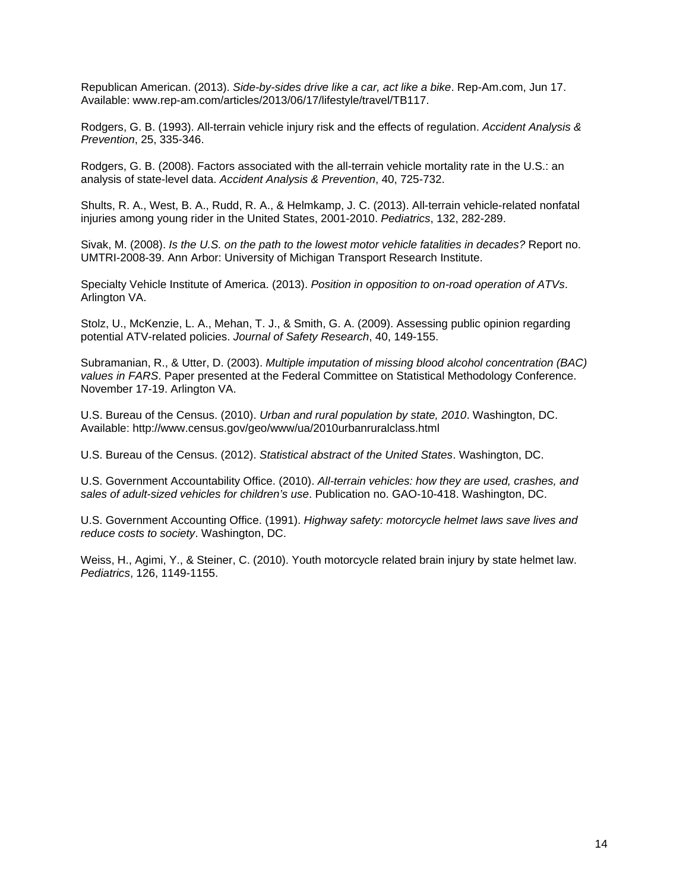Republican American. (2013). *Side-by-sides drive like a car, act like a bike*. Rep-Am.com, Jun 17. Available: www.rep-am.com/articles/2013/06/17/lifestyle/travel/TB117.

Rodgers, G. B. (1993). All-terrain vehicle injury risk and the effects of regulation. *Accident Analysis & Prevention*, 25, 335-346.

Rodgers, G. B. (2008). Factors associated with the all-terrain vehicle mortality rate in the U.S.: an analysis of state-level data. *Accident Analysis & Prevention*, 40, 725-732.

Shults, R. A., West, B. A., Rudd, R. A., & Helmkamp, J. C. (2013). All-terrain vehicle-related nonfatal injuries among young rider in the United States, 2001-2010. *Pediatrics*, 132, 282-289.

Sivak, M. (2008). *Is the U.S. on the path to the lowest motor vehicle fatalities in decades?* Report no. UMTRI-2008-39. Ann Arbor: University of Michigan Transport Research Institute.

Specialty Vehicle Institute of America. (2013). *Position in opposition to on-road operation of ATVs*. Arlington VA.

Stolz, U., McKenzie, L. A., Mehan, T. J., & Smith, G. A. (2009). Assessing public opinion regarding potential ATV-related policies. *Journal of Safety Research*, 40, 149-155.

Subramanian, R., & Utter, D. (2003). *Multiple imputation of missing blood alcohol concentration (BAC) values in FARS*. Paper presented at the Federal Committee on Statistical Methodology Conference. November 17-19. Arlington VA.

U.S. Bureau of the Census. (2010). *Urban and rural population by state, 2010*. Washington, DC. Available: http://www.census.gov/geo/www/ua/2010urbanruralclass.html

U.S. Bureau of the Census. (2012). *Statistical abstract of the United States*. Washington, DC.

U.S. Government Accountability Office. (2010). *All-terrain vehicles: how they are used, crashes, and sales of adult-sized vehicles for children's use*. Publication no. GAO-10-418. Washington, DC.

U.S. Government Accounting Office. (1991). *Highway safety: motorcycle helmet laws save lives and reduce costs to society*. Washington, DC.

Weiss, H., Agimi, Y., & Steiner, C. (2010). Youth motorcycle related brain injury by state helmet law. *Pediatrics*, 126, 1149-1155.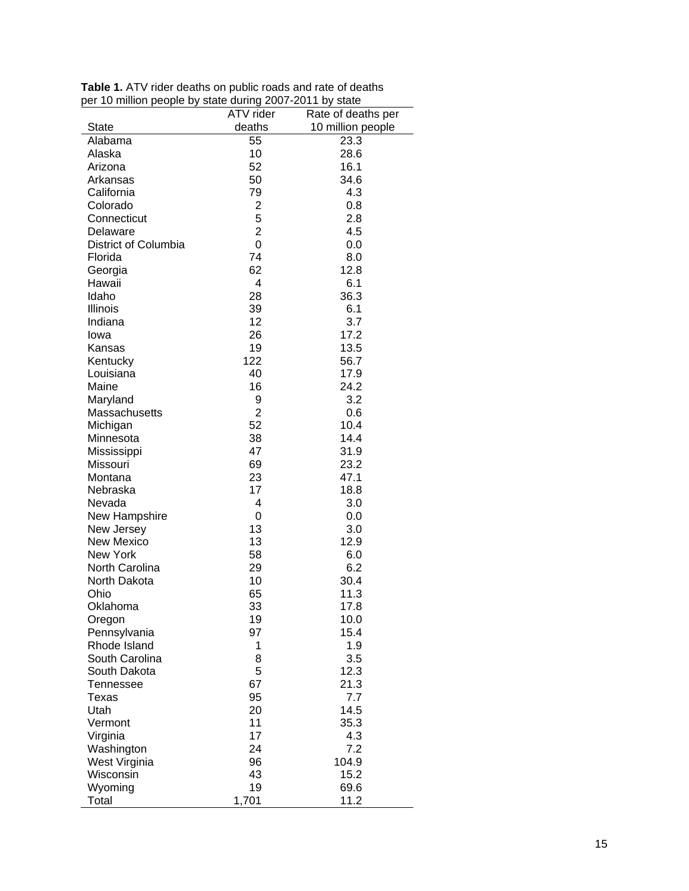| $\sim$ million poople by state during 2007. 2011 by state | ATV rider      | Rate of deaths per |
|-----------------------------------------------------------|----------------|--------------------|
| <b>State</b>                                              | deaths         | 10 million people  |
| Alabama                                                   | 55             | 23.3               |
| Alaska                                                    | 10             | 28.6               |
| Arizona                                                   | 52             | 16.1               |
| Arkansas                                                  | 50             | 34.6               |
| California                                                | 79             | 4.3                |
| Colorado                                                  | $\overline{2}$ | 0.8                |
| Connecticut                                               | 5              | 2.8                |
| Delaware                                                  | $\overline{2}$ | 4.5                |
| <b>District of Columbia</b>                               | $\overline{0}$ | 0.0                |
| Florida                                                   | 74             | 8.0                |
|                                                           | 62             | 12.8               |
| Georgia                                                   |                |                    |
| Hawaii                                                    | 4              | 6.1                |
| Idaho                                                     | 28             | 36.3               |
| Illinois                                                  | 39             | 6.1                |
| Indiana                                                   | 12             | 3.7                |
| lowa                                                      | 26             | 17.2               |
| Kansas                                                    | 19             | 13.5               |
| Kentucky                                                  | 122            | 56.7               |
| Louisiana                                                 | 40             | 17.9               |
| Maine                                                     | 16             | 24.2               |
| Maryland                                                  | 9              | 3.2                |
| Massachusetts                                             | $\overline{2}$ | 0.6                |
| Michigan                                                  | 52             | 10.4               |
| Minnesota                                                 | 38             | 14.4               |
| Mississippi                                               | 47             | 31.9               |
| Missouri                                                  | 69             | 23.2               |
| Montana                                                   | 23             | 47.1               |
| Nebraska                                                  | 17             | 18.8               |
| Nevada                                                    | 4              | 3.0                |
| New Hampshire                                             | 0              | 0.0                |
| New Jersey                                                | 13             | 3.0                |
| <b>New Mexico</b>                                         | 13             | 12.9               |
| New York                                                  | 58             | 6.0                |
| North Carolina                                            | 29             | 6.2                |
| North Dakota                                              | 10             | 30.4               |
| Ohio                                                      | 65             | 11.3               |
| Oklahoma                                                  | 33             | 17.8               |
| Oregon                                                    | 19             | 10.0               |
| Pennsylvania                                              | 97             | 15.4               |
| Rhode Island                                              | 1              | 1.9                |
| South Carolina                                            | 8              | 3.5                |
| South Dakota                                              | 5              | 12.3               |
| Tennessee                                                 | 67             | 21.3               |
| Texas                                                     | 95             | 7.7                |
| Utah                                                      | 20             | 14.5               |
| Vermont                                                   | 11             | 35.3               |
| Virginia                                                  | 17             | 4.3                |
| Washington                                                | 24             | 7.2                |
| West Virginia                                             | 96             | 104.9              |
| Wisconsin                                                 | 43             | 15.2               |
| Wyoming                                                   | 19             | 69.6               |
| Total                                                     | 1,701          | 11.2               |

**Table 1.** ATV rider deaths on public roads and rate of deaths per 10 million people by state during 2007 -2011 by state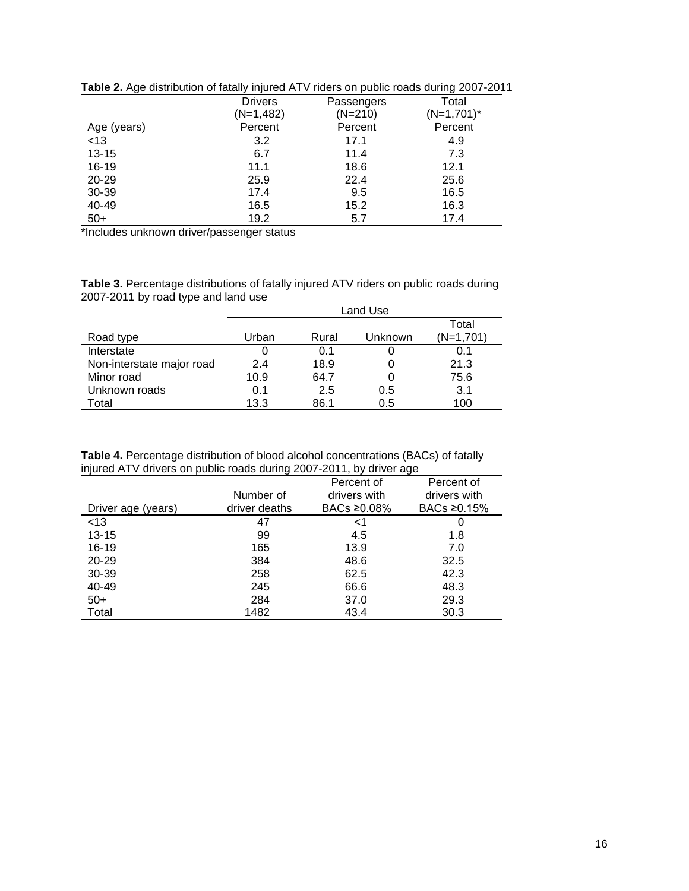|             | <b>Drivers</b> | Passengers | Total         |
|-------------|----------------|------------|---------------|
|             | (N=1,482)      | $(N=210)$  | $(N=1,701)^*$ |
| Age (years) | Percent        | Percent    | Percent       |
| <13         | 3.2            | 17.1       | 4.9           |
| $13 - 15$   | 6.7            | 11.4       | 7.3           |
| $16 - 19$   | 11.1           | 18.6       | 12.1          |
| 20-29       | 25.9           | 22.4       | 25.6          |
| 30-39       | 17.4           | 9.5        | 16.5          |
| 40-49       | 16.5           | 15.2       | 16.3          |
| $50+$       | 19.2           | 5.7        | 17.4          |

**Table 2.** Age distribution of fatally injured ATV riders on public roads during 2007-2011

\*Includes unknown driver/passenger status

**Table 3.** Percentage distributions of fatally injured ATV riders on public roads during 2007-2011 by road type and land use

|                           | Land Use |       |         |           |
|---------------------------|----------|-------|---------|-----------|
|                           |          |       |         | Total     |
| Road type                 | Urban    | Rural | Unknown | (N=1,701) |
| Interstate                | 0        | 0.1   |         | 0.1       |
| Non-interstate major road | 2.4      | 18.9  |         | 21.3      |
| Minor road                | 10.9     | 64.7  |         | 75.6      |
| Unknown roads             | 0.1      | 2.5   | 0.5     | 3.1       |
| Total                     | 13.3     | 86.1  | 0.5     | 100       |

**Table 4.** Percentage distribution of blood alcohol concentrations (BACs) of fatally injured ATV drivers on public roads during 2007-2011, by driver age

|                    | ີ             |              | ີ            |
|--------------------|---------------|--------------|--------------|
|                    |               | Percent of   | Percent of   |
|                    | Number of     | drivers with | drivers with |
| Driver age (years) | driver deaths | BACs ≥0.08%  | BACs ≥0.15%  |
| < 13               | 47            | <1           |              |
| $13 - 15$          | 99            | 4.5          | 1.8          |
| $16 - 19$          | 165           | 13.9         | 7.0          |
| 20-29              | 384           | 48.6         | 32.5         |
| 30-39              | 258           | 62.5         | 42.3         |
| 40-49              | 245           | 66.6         | 48.3         |
| $50+$              | 284           | 37.0         | 29.3         |
| Total              | 1482          | 43.4         | 30.3         |
|                    |               |              |              |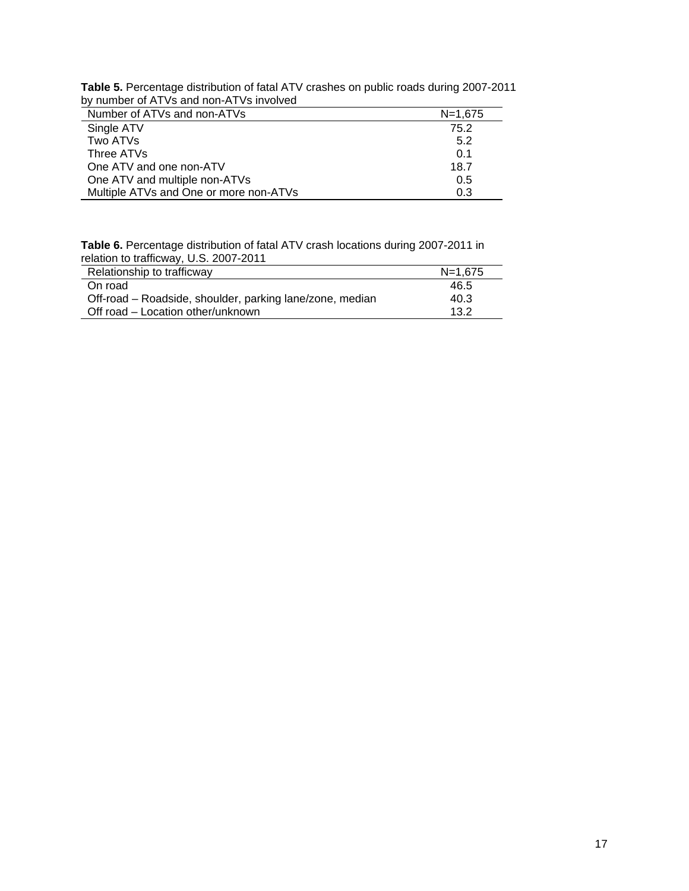| Table 5. Percentage distribution of fatal ATV crashes on public roads during 2007-2011 |  |
|----------------------------------------------------------------------------------------|--|
| by number of ATVs and non-ATVs involved                                                |  |

| Number of ATVs and non-ATVs            | $N = 1.675$ |
|----------------------------------------|-------------|
| Single ATV                             | 75.2        |
| Two ATVs                               | 5.2         |
| Three ATVs                             | 0.1         |
| One ATV and one non-ATV                | 18.7        |
| One ATV and multiple non-ATVs          | 0.5         |
| Multiple ATVs and One or more non-ATVs | 0.3         |

**Table 6.** Percentage distribution of fatal ATV crash locations during 2007-2011 in relation to trafficway, U.S. 2007-2011

| ____________                                             |             |
|----------------------------------------------------------|-------------|
| Relationship to trafficway                               | $N = 1.675$ |
| On road                                                  | 46.5        |
| Off-road - Roadside, shoulder, parking lane/zone, median | 40.3        |
| Off road – Location other/unknown                        | 13.2        |
|                                                          |             |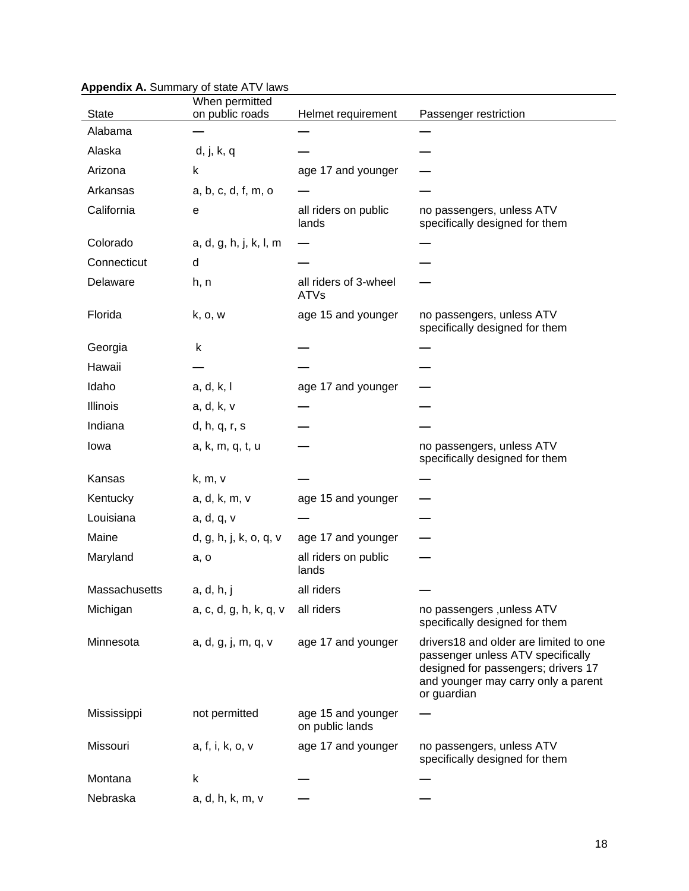|               | $\mu$<br>When permitted |                                       |                                                                                                                                                                          |
|---------------|-------------------------|---------------------------------------|--------------------------------------------------------------------------------------------------------------------------------------------------------------------------|
| State         | on public roads         | Helmet requirement                    | Passenger restriction                                                                                                                                                    |
| Alabama       |                         |                                       |                                                                                                                                                                          |
| Alaska        | d, j, k, q              |                                       |                                                                                                                                                                          |
| Arizona       | k                       | age 17 and younger                    |                                                                                                                                                                          |
| Arkansas      | a, b, c, d, f, m, o     |                                       |                                                                                                                                                                          |
| California    | е                       | all riders on public<br>lands         | no passengers, unless ATV<br>specifically designed for them                                                                                                              |
| Colorado      | a, d, g, h, j, k, l, m  |                                       |                                                                                                                                                                          |
| Connecticut   | d                       |                                       |                                                                                                                                                                          |
| Delaware      | h, n                    | all riders of 3-wheel<br><b>ATVs</b>  |                                                                                                                                                                          |
| Florida       | k, o, w                 | age 15 and younger                    | no passengers, unless ATV<br>specifically designed for them                                                                                                              |
| Georgia       | k                       |                                       |                                                                                                                                                                          |
| Hawaii        |                         |                                       |                                                                                                                                                                          |
| Idaho         | a, d, k, l              | age 17 and younger                    |                                                                                                                                                                          |
| Illinois      | a, d, k, v              |                                       |                                                                                                                                                                          |
| Indiana       | d, h, q, r, s           |                                       |                                                                                                                                                                          |
| lowa          | a, k, m, q, t, u        |                                       | no passengers, unless ATV<br>specifically designed for them                                                                                                              |
| Kansas        | k, m, v                 |                                       |                                                                                                                                                                          |
| Kentucky      | a, d, k, m, v           | age 15 and younger                    |                                                                                                                                                                          |
| Louisiana     | a, d, q, v              |                                       |                                                                                                                                                                          |
| Maine         | d, g, h, j, k, o, q, v  | age 17 and younger                    |                                                                                                                                                                          |
| Maryland      | a, o                    | all riders on public<br>lands         |                                                                                                                                                                          |
| Massachusetts | a, d, h, j              | all riders                            |                                                                                                                                                                          |
| Michigan      | a, c, d, g, h, k, q, v  | all riders                            | no passengers , unless ATV<br>specifically designed for them                                                                                                             |
| Minnesota     | a, d, g, j, m, q, v     | age 17 and younger                    | drivers18 and older are limited to one<br>passenger unless ATV specifically<br>designed for passengers; drivers 17<br>and younger may carry only a parent<br>or guardian |
| Mississippi   | not permitted           | age 15 and younger<br>on public lands |                                                                                                                                                                          |
| Missouri      | a, f, i, k, o, v        | age 17 and younger                    | no passengers, unless ATV<br>specifically designed for them                                                                                                              |
| Montana       | k                       |                                       |                                                                                                                                                                          |
| Nebraska      | a, d, h, k, m, v        |                                       |                                                                                                                                                                          |

# **Appendix A.** Summary of state ATV laws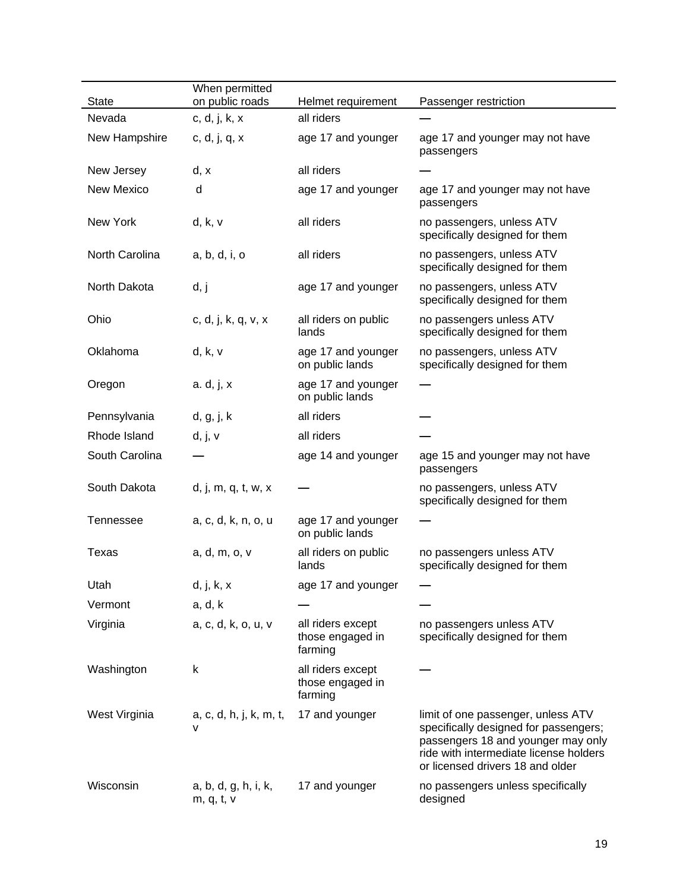|                | When permitted                     |                                                  |                                                                                                                                                                                                 |
|----------------|------------------------------------|--------------------------------------------------|-------------------------------------------------------------------------------------------------------------------------------------------------------------------------------------------------|
| <b>State</b>   | on public roads                    | Helmet requirement                               | Passenger restriction                                                                                                                                                                           |
| Nevada         | c, d, j, k, x                      | all riders                                       |                                                                                                                                                                                                 |
| New Hampshire  | c, d, j, q, x                      | age 17 and younger                               | age 17 and younger may not have<br>passengers                                                                                                                                                   |
| New Jersey     | d, x                               | all riders                                       |                                                                                                                                                                                                 |
| New Mexico     | d                                  | age 17 and younger                               | age 17 and younger may not have<br>passengers                                                                                                                                                   |
| New York       | d, k, v                            | all riders                                       | no passengers, unless ATV<br>specifically designed for them                                                                                                                                     |
| North Carolina | a, b, d, i, o                      | all riders                                       | no passengers, unless ATV<br>specifically designed for them                                                                                                                                     |
| North Dakota   | d, j                               | age 17 and younger                               | no passengers, unless ATV<br>specifically designed for them                                                                                                                                     |
| Ohio           | c, d, j, k, q, v, x                | all riders on public<br>lands                    | no passengers unless ATV<br>specifically designed for them                                                                                                                                      |
| Oklahoma       | d, k, v                            | age 17 and younger<br>on public lands            | no passengers, unless ATV<br>specifically designed for them                                                                                                                                     |
| Oregon         | a. d, j, x                         | age 17 and younger<br>on public lands            |                                                                                                                                                                                                 |
| Pennsylvania   | d, g, j, k                         | all riders                                       |                                                                                                                                                                                                 |
| Rhode Island   | d, j, v                            | all riders                                       |                                                                                                                                                                                                 |
| South Carolina |                                    | age 14 and younger                               | age 15 and younger may not have<br>passengers                                                                                                                                                   |
| South Dakota   | d, j, m, q, t, w, x                |                                                  | no passengers, unless ATV<br>specifically designed for them                                                                                                                                     |
| Tennessee      | a, c, d, k, n, o, u                | age 17 and younger<br>on public lands            |                                                                                                                                                                                                 |
| Texas          | a, d, m, o, v                      | all riders on public<br>lands                    | no passengers unless ATV<br>specifically designed for them                                                                                                                                      |
| Utah           | d, j, k, x                         | age 17 and younger                               |                                                                                                                                                                                                 |
| Vermont        | a, d, k                            |                                                  |                                                                                                                                                                                                 |
| Virginia       | a, c, d, k, o, u, v                | all riders except<br>those engaged in<br>farming | no passengers unless ATV<br>specifically designed for them                                                                                                                                      |
| Washington     | k                                  | all riders except<br>those engaged in<br>farming |                                                                                                                                                                                                 |
| West Virginia  | a, c, d, h, j, k, m, t,<br>v       | 17 and younger                                   | limit of one passenger, unless ATV<br>specifically designed for passengers;<br>passengers 18 and younger may only<br>ride with intermediate license holders<br>or licensed drivers 18 and older |
| Wisconsin      | a, b, d, g, h, i, k,<br>m, q, t, v | 17 and younger                                   | no passengers unless specifically<br>designed                                                                                                                                                   |